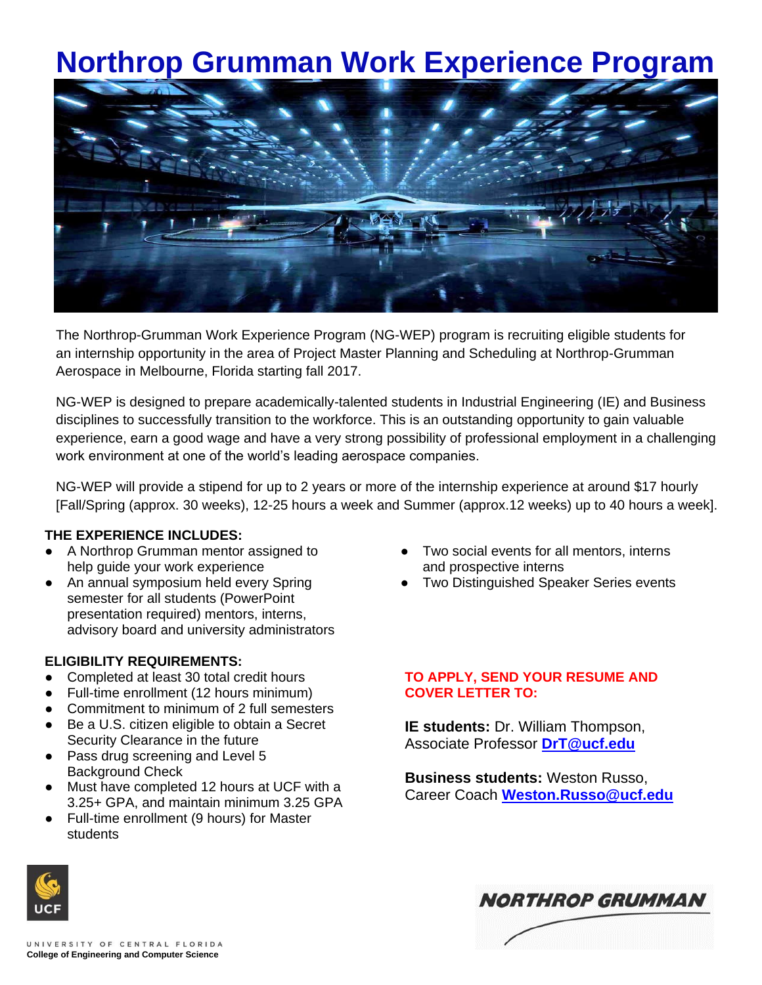# **Northrop Grumman Work Experience Program**



The Northrop-Grumman Work Experience Program (NG-WEP) program is recruiting eligible students for an internship opportunity in the area of Project Master Planning and Scheduling at Northrop-Grumman Aerospace in Melbourne, Florida starting fall 2017.

NG-WEP is designed to prepare academically-talented students in Industrial Engineering (IE) and Business disciplines to successfully transition to the workforce. This is an outstanding opportunity to gain valuable experience, earn a good wage and have a very strong possibility of professional employment in a challenging work environment at one of the world's leading aerospace companies.

NG-WEP will provide a stipend for up to 2 years or more of the internship experience at around \$17 hourly [Fall/Spring (approx. 30 weeks), 12-25 hours a week and Summer (approx.12 weeks) up to 40 hours a week].

#### **THE EXPERIENCE INCLUDES:**

- A Northrop Grumman mentor assigned to help guide your work experience
- An annual symposium held every Spring semester for all students (PowerPoint presentation required) mentors, interns, advisory board and university administrators

# **ELIGIBILITY REQUIREMENTS:**

- Completed at least 30 total credit hours
- Full-time enrollment (12 hours minimum)
- Commitment to minimum of 2 full semesters
- Be a U.S. citizen eligible to obtain a Secret Security Clearance in the future
- Pass drug screening and Level 5 Background Check
- Must have completed 12 hours at UCF with a 3.25+ GPA, and maintain minimum 3.25 GPA
- Full-time enrollment (9 hours) for Master students

## ● Two social events for all mentors, interns and prospective interns

● Two Distinguished Speaker Series events

## **TO APPLY, SEND YOUR RESUME AND COVER LETTER TO:**

**IE students:** Dr. William Thompson, Associate Professor **[DrT@ucf.edu](mailto:DrT@ucf.edu)**

**Business students:** Weston Russo, Career Coach **[Weston.Russo@ucf.edu](mailto:Jim.Gilkeson@ucf.edu)**